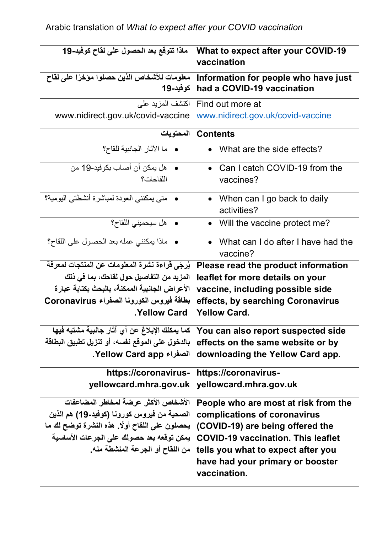| ماذا تتوقع بعد الحصول على لقاح كوفيد-19                                                   | <b>What to expect after your COVID-19</b><br>vaccination                               |
|-------------------------------------------------------------------------------------------|----------------------------------------------------------------------------------------|
| معلومات للأشخاص الذين حصلوا مؤخرًا على لقاح<br>كوفيد-19                                   | Information for people who have just<br>had a COVID-19 vaccination                     |
| اكتشف المزيد على<br>www.nidirect.gov.uk/covid-vaccine                                     | Find out more at<br>www.nidirect.gov.uk/covid-vaccine                                  |
| المحتويات                                                                                 | <b>Contents</b>                                                                        |
| •   ما الآثار الجانبية للقاح؟                                                             | What are the side effects?                                                             |
| •    هل يمكن أن أصباب بكو فيد-19 من<br>اللقاحات؟                                          | • Can I catch COVID-19 from the<br>vaccines?                                           |
| •   متى يمكنني العودة لمباشرة أنشطتي اليومية؟                                             | • When can I go back to daily<br>activities?                                           |
| •    هل سيحميني اللقاح؟                                                                   | Will the vaccine protect me?                                                           |
| • ماذا يمكنني عمله بعد الحصول على اللقاح؟                                                 | What can I do after I have had the<br>vaccine?                                         |
| يُرجَى قَراءة نشرة المعلومات عن المنتجات لمعرفة                                           | Please read the product information                                                    |
| المزيد من التفاصيل حول لقاحك، بما في ذلك                                                  | leaflet for more details on your                                                       |
| الأعراض الجانبية الممكنة، بالبحث بكتابة عبارة<br>بطاقة فيروس الكورونا الصفراء Coronavirus | vaccine, including possible side                                                       |
| <b>Yellow Card</b>                                                                        | effects, by searching Coronavirus<br><b>Yellow Card.</b>                               |
| كما يمكنك الإبلاغ عن أي آثار جانبية مشتبه فيها                                            | You can also report suspected side                                                     |
| بالدخول على الموقع نفسه، أو تنزيل تطبيق البطاقة                                           | effects on the same website or by                                                      |
| الصفراء Yellow Card app.                                                                  | downloading the Yellow Card app.                                                       |
| https://coronavirus-                                                                      | https://coronavirus-                                                                   |
| yellowcard.mhra.gov.uk                                                                    | yellowcard.mhra.gov.uk                                                                 |
| الأشخاص الأكثر عرضة لمخاطر المضاعفات                                                      | People who are most at risk from the                                                   |
| الصحية من فيروس كورونـا (كوفيد-19) هم الذين                                               | complications of coronavirus                                                           |
| يحصلون على اللقاح أولًا. هذه النشرة توضح لك ما                                            | (COVID-19) are being offered the                                                       |
| يمكن توقعه بعد حصولك على الجرعات الأساسية                                                 | <b>COVID-19 vaccination. This leaflet</b>                                              |
| من اللقاح أو الجرعة المنشطة منه_                                                          | tells you what to expect after you<br>have had your primary or booster<br>vaccination. |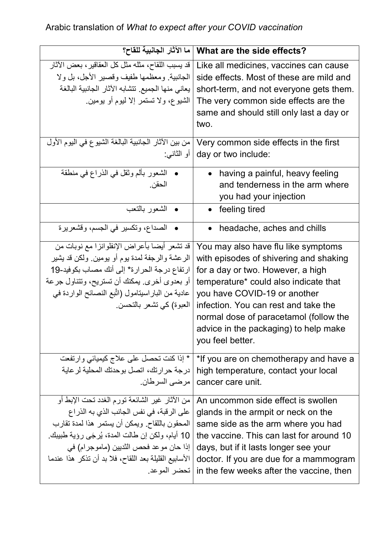## Arabic translation of *What to expect after your COVID vaccination*

| ما الآثار الجانبية للقاح؟                                                                                                                                                                                                                                                                           | What are the side effects?                                                                                                                                                                                                                                                                                                                 |
|-----------------------------------------------------------------------------------------------------------------------------------------------------------------------------------------------------------------------------------------------------------------------------------------------------|--------------------------------------------------------------------------------------------------------------------------------------------------------------------------------------------------------------------------------------------------------------------------------------------------------------------------------------------|
| قد يسبب اللقاح، مثله مثل كل العقاقير، بعض الأثار<br>الجانبية. ومعظمها طفيف وقصير الأجل، بل ولا<br>يعاني منها الجميع. تتشابه الآثار الجانبية البالغة<br>الشيوع، ولا تستمر إلا ليوم أو يومين.                                                                                                         | Like all medicines, vaccines can cause<br>side effects. Most of these are mild and<br>short-term, and not everyone gets them.<br>The very common side effects are the<br>same and should still only last a day or<br>two.                                                                                                                  |
| من بين الآثار الجانبية البالغة الشيوع في اليوم الأول<br>  أو الثانبي:                                                                                                                                                                                                                               | Very common side effects in the first<br>day or two include:                                                                                                                                                                                                                                                                               |
| •   الشعور بألم وثقل في الذراع في منطقة<br>الحقن.                                                                                                                                                                                                                                                   | having a painful, heavy feeling<br>and tenderness in the arm where<br>you had your injection                                                                                                                                                                                                                                               |
| • الشعور بالنعب                                                                                                                                                                                                                                                                                     | feeling tired                                                                                                                                                                                                                                                                                                                              |
| • الصداع، وتكسير في الجسم، وقشعريرة                                                                                                                                                                                                                                                                 | headache, aches and chills                                                                                                                                                                                                                                                                                                                 |
| قد تشعر أيضا بأعراض الإنفلوانزا مع نوبات من<br>الرعشة والرجفة لمدة يوم أو يومين. ولكن قد يشير<br>ارتفاع درجة الحرارة* إلى أنك مصاب بكوفيد-19<br>أو بعدوى أخرى. يمكنك أن تستريح، وتتناول جرعة<br>عادية من البار اسيتامول (اتَّبع النصائح الواردة في<br>العبوة) كي تشعر بالتحسن                       | You may also have flu like symptoms<br>with episodes of shivering and shaking<br>for a day or two. However, a high<br>temperature* could also indicate that<br>you have COVID-19 or another<br>infection. You can rest and take the<br>normal dose of paracetamol (follow the<br>advice in the packaging) to help make<br>you feel better. |
| * إذا كنت تحصل على علاج كيميائي وارتفعت<br>درجة حر ارتك، اتصل بوحدتك المحلية لر عاية<br>  مر ضبي السر طان.                                                                                                                                                                                          | *If you are on chemotherapy and have a<br>high temperature, contact your local<br>cancer care unit.                                                                                                                                                                                                                                        |
| من الأثار غير الشائعة تورم الغدد تحت الإبط أو<br>على الرقبة، في نفس الجانب الذي به الذراع<br>المحقون باللقاح. ويمكن أن يستمر هذا لمدة تقارب<br>10 أيام، ولكن إن طالت المدة، يُرجَى رؤية طبيبك.<br>إذا حان مو عد فحص الثديين (ماموجر ام) في<br>الأسابيع القليلة بعد اللقاح، فلا بد أن تذكر هذا عندما | An uncommon side effect is swollen<br>glands in the armpit or neck on the<br>same side as the arm where you had<br>the vaccine. This can last for around 10<br>days, but if it lasts longer see your<br>doctor. If you are due for a mammogram<br>in the few weeks after the vaccine, then   تحضر الموعد.                                  |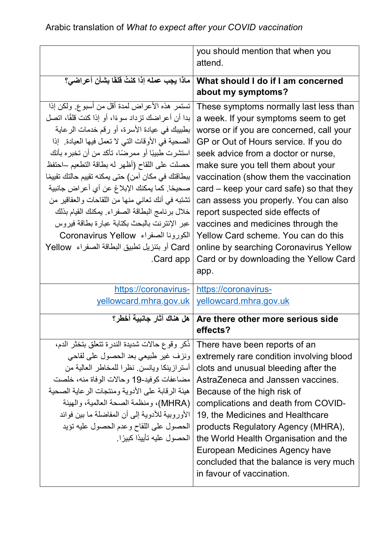|                                                    | you should mention that when you           |
|----------------------------------------------------|--------------------------------------------|
|                                                    | attend.                                    |
| ماذا يجب عمله إذا كنتُ قلقًا بشأن أعراضي؟          | What should I do if I am concerned         |
|                                                    | about my symptoms?                         |
| تستمر هذه الأعراض لمدة أقل من أسبوع. ولكن إذا      | These symptoms normally last less than     |
| بدا أن أعراضك تزداد سوءًا، أو إذا كنت قلقًا، اتصل  | a week. If your symptoms seem to get       |
| بطبيبك في عيادة الأسرة، أو رقم خدمات الرعاية       | worse or if you are concerned, call your   |
| الصحية في الأوقات التي لا تعمل فيها العيادة. إذا   | GP or Out of Hours service. If you do      |
| استشرت طبيبًا أو ممرضًا، تأكد من أن تخبره بأنك     | seek advice from a doctor or nurse,        |
| حصلت على اللقاح (أظهر له بطاقة التطعيم —احتفظ      | make sure you tell them about your         |
| ببطاقتك في مكان آمن) حتى يمكنه تقييم حالتك تقييمًا | vaccination (show them the vaccination     |
| صحيحًا. كما يمكنك الإبلاغ عن أي أعراض جانبية       | $card - keep$ your card safe) so that they |
| تشتبه في أنك تعانى منها من اللقاحات والعقاقير من   | can assess you properly. You can also      |
| خلال برنامج البطاقة الصفراء. يمكنك القيام بذلك     | report suspected side effects of           |
| عبر الإنترنت بالبحث بكتابة عبارة بطاقة فيروس       | vaccines and medicines through the         |
| الكورونا الصغراء Coronavirus Yellow                | Yellow Card scheme. You can do this        |
| Card أو بتنزيل تطبيق البطاقة الصفراء  Yellow       | online by searching Coronavirus Yellow     |
| .Card app                                          | Card or by downloading the Yellow Card     |
|                                                    | app.                                       |
|                                                    |                                            |
| https://coronavirus-                               | https://coronavirus-                       |
| yellowcard.mhra.gov.uk                             | yellowcard.mhra.gov.uk                     |
| هل هناك آثار جانبية أخطر؟                          | Are there other more serious side          |
|                                                    | effects?                                   |
| ذكر وقوع حالات شديدة الندرة تتعلق بتخثر الدم،      | There have been reports of an              |
| ونزف غير طبيعي بعد الحصول على لقاحي                | extremely rare condition involving blood   |
| أستر از ينكا ويانسن. نظر ا للمخاطر العالية من      | clots and unusual bleeding after the       |
| مضاعفات كوفيد-19 وحالات الوفاة منه، خلصت           | AstraZeneca and Janssen vaccines.          |
| هيئة الرقابة على الأدوية ومنتجات الر عاية الصحية   | Because of the high risk of                |
| (MHRA)، ومنظمة الصحة العالمية، والهيئة             | complications and death from COVID-        |
| الأوروبية للأدوية إلى أن المفاضلة ما بين فوائد     | 19, the Medicines and Healthcare           |
| الحصول على اللقاح وعدم الحصول عليه تؤيد            | products Regulatory Agency (MHRA),         |
| الحصو ل عليه تأييدًا كبيرً ا.                      | the World Health Organisation and the      |
|                                                    | European Medicines Agency have             |
|                                                    | concluded that the balance is very much    |
|                                                    | in favour of vaccination.                  |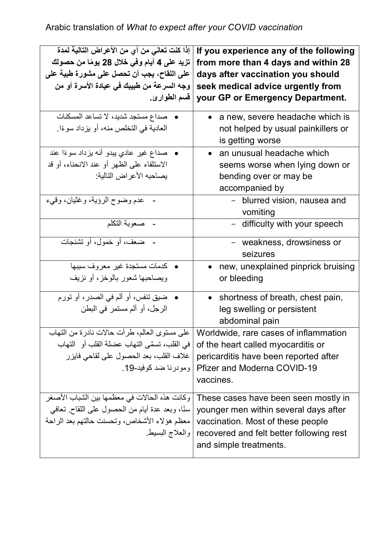| إذا كنت تعانى من أي من الأعراض التالية لمدة<br>تزيد على 4 أيام وفي خلال 28 يومًا من حصولك<br>على اللقاح، يجب أن تحصل على مشورة طبية عل <i>ى</i><br>وجه السرعة من طبيبك في عيادة الأسرة أو من<br>قسم الطوارئ. | If you experience any of the following<br>from more than 4 days and within 28<br>days after vaccination you should<br>seek medical advice urgently from<br>your GP or Emergency Department.                |
|--------------------------------------------------------------------------------------------------------------------------------------------------------------------------------------------------------------|------------------------------------------------------------------------------------------------------------------------------------------------------------------------------------------------------------|
| •   صداع مستجد شديد، لا تساعد المسكنات<br>العادية في التخلص منه، أو يزداد سوءًا.                                                                                                                             | • a new, severe headache which is<br>not helped by usual painkillers or<br>is getting worse                                                                                                                |
| •   صداع غير عادي يبدو أنه يزداد سوءًا عند<br>الاستلقاء على الظهر أو عند الانحناء، أو قد<br>يصاحبه الأعراض التالية:                                                                                          | • an unusual headache which<br>seems worse when lying down or<br>bending over or may be<br>accompanied by                                                                                                  |
| عدم وضوح الرؤية، وغثيان، وقيء                                                                                                                                                                                | - blurred vision, nausea and<br>vomiting                                                                                                                                                                   |
| - صعوبة النكلم                                                                                                                                                                                               | - difficulty with your speech                                                                                                                                                                              |
| - ضعف، أو خمول، أو تشنجات                                                                                                                                                                                    | - weakness, drowsiness or<br>seizures                                                                                                                                                                      |
| • كدمات مستجدة غير معروف سببها<br>ويصاحبها شعور بالوخز، أو نزيف                                                                                                                                              | new, unexplained pinprick bruising<br>or bleeding                                                                                                                                                          |
| ضيق تنفس، أو ألم في الصدر ، أو تورم<br>الرجل، أو ألم مستمر في البطن                                                                                                                                          | • shortness of breath, chest pain,<br>leg swelling or persistent<br>abdominal pain                                                                                                                         |
| على مستوى العالم، طرأت حالات نادرة من التهاب<br>  في القلب، تسمَّى التهاب عضلة القلب أو   التهاب<br>غلاف القلب، بعد الحصول على لقاحي فايزر                                                                   | Worldwide, rare cases of inflammation<br>of the heart called myocarditis or<br>pericarditis have been reported after<br>Pfizer and Moderna COVID-19   ومودرنا ضد كوفيد-19.<br>vaccines.                    |
| وكانت هذه الحالات في معظمها بين الشباب الأصغر<br>سنًا، وبعد عدة أيام من الحصول على اللقاح. تعافى<br> معظم هؤلاء الأشخاص، وتحسنت حالتهم بعد الراحة                                                            | These cases have been seen mostly in<br>younger men within several days after<br>vaccination. Most of these people<br>recovered and felt better following rest   والعلاج البسيط.<br>and simple treatments. |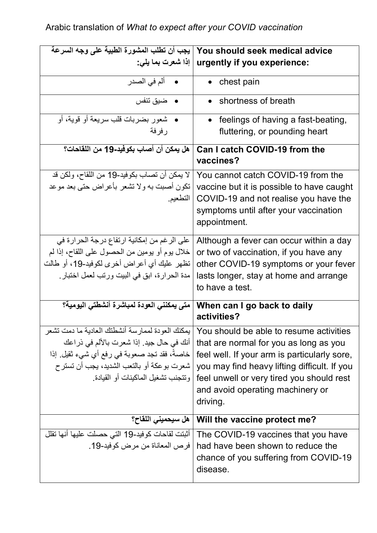| يجب أن تطلب المشورة الطبية على وجه السرعة                                                                                                                                                                                           | You should seek medical advice                                                                                                                                                                                                                                                 |
|-------------------------------------------------------------------------------------------------------------------------------------------------------------------------------------------------------------------------------------|--------------------------------------------------------------------------------------------------------------------------------------------------------------------------------------------------------------------------------------------------------------------------------|
|                                                                                                                                                                                                                                     | :urgently if you experience   إذا شعرت بما يلي:                                                                                                                                                                                                                                |
| • ألم في الصدر                                                                                                                                                                                                                      | chest pain                                                                                                                                                                                                                                                                     |
| • ضيق تنفس                                                                                                                                                                                                                          | • shortness of breath                                                                                                                                                                                                                                                          |
| •   شعور بضربات قلب سريعة أو قوية، أو<br>ر فر فة                                                                                                                                                                                    | feelings of having a fast-beating,<br>$\bullet$<br>fluttering, or pounding heart                                                                                                                                                                                               |
| هل يمكن أن أصاب بكوفيد-19 من اللقاحات؟                                                                                                                                                                                              | <b>Can I catch COVID-19 from the</b><br>vaccines?                                                                                                                                                                                                                              |
| لا يمكن أن تصـاب بكوفيد-19 من اللقاح، ولكن قد<br>تكون أصبت به ولا تشعر بأعراض حتى بعد موعد<br>  التطعيم                                                                                                                             | You cannot catch COVID-19 from the<br>vaccine but it is possible to have caught<br>COVID-19 and not realise you have the<br>symptoms until after your vaccination<br>appointment.                                                                                              |
| على الرغم من إمكانية ارتفاع درجة الحرارة في<br>خلال يوم أو يومين من الحصول على اللقاح، إذا لم<br>تظهر عليك أي أعراض أخرى لكوفيد-19، أو طالت<br>مدة الحرارة، ابق في البيت ورتب لعمل اختبار .                                         | Although a fever can occur within a day<br>or two of vaccination, if you have any<br>other COVID-19 symptoms or your fever<br>lasts longer, stay at home and arrange<br>to have a test.                                                                                        |
| متى يمكنني العودة لمباشرة أنشطتي اليومية؟                                                                                                                                                                                           | When can I go back to daily<br>activities?                                                                                                                                                                                                                                     |
| بمكنك العو دة لممار سة أنشطتك العادية ما دمت تشعر<br>أنك في حال جيد. إذا شعرت بالألم في ذراعك<br>خاصةً، فقد تجد صعوبة في رفع أي شيء ثقيل. إذا<br>شعرت بو عكة أو بالتعب الشديد، يجب أن تستر ح<br>و تتجنب تشغيل الماكينات أو القيادة. | You should be able to resume activities<br>that are normal for you as long as you<br>feel well. If your arm is particularly sore,<br>you may find heavy lifting difficult. If you<br>feel unwell or very tired you should rest<br>and avoid operating machinery or<br>driving. |
| هل سيحميني اللقاح؟                                                                                                                                                                                                                  | Will the vaccine protect me?                                                                                                                                                                                                                                                   |
| أثبتت لقاحات كوفيد-19 التي حصلت عليها أنها تقلل<br>فر ص المعاناة من مر ض كو فيد-19.                                                                                                                                                 | The COVID-19 vaccines that you have<br>had have been shown to reduce the<br>chance of you suffering from COVID-19<br>disease.                                                                                                                                                  |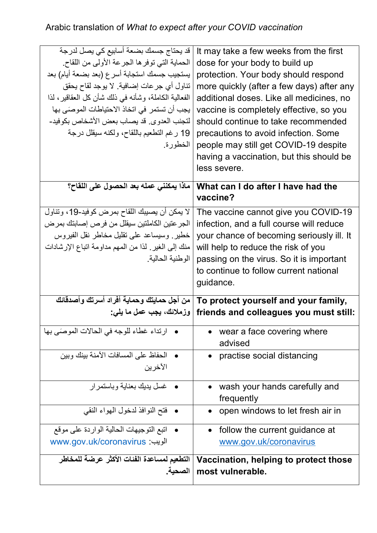## Arabic translation of *What to expect after your COVID vaccination*

| قد يحتاج جسمك بضعة أسابيع كي يصل لدرجة<br>الحماية التي توفر ها الجر عة الأولى من اللقاح.<br>يستجيب جسمك استجابة أسرع (بعد بضعة أيام) بعد<br>تناول أي جر عات إضافية. لا يوجد لقاح يحقق<br>الفعالية الكاملة، وشأنه في ذلك شأن كل العقاقير ، لذا<br>يجب أن تستمر في اتخاذ الاحتياطات الموصَى بها<br>لتجنب العدوى. قد يصاب بعض الأشخاص بكوفيد-<br>19 رغم التطعيم باللقاح، ولكنه سيقلل درجة<br>الخطورة. | It may take a few weeks from the first<br>dose for your body to build up<br>protection. Your body should respond<br>more quickly (after a few days) after any<br>additional doses. Like all medicines, no<br>vaccine is completely effective, so you<br>should continue to take recommended<br>precautions to avoid infection. Some<br>people may still get COVID-19 despite<br>having a vaccination, but this should be<br>less severe. |
|----------------------------------------------------------------------------------------------------------------------------------------------------------------------------------------------------------------------------------------------------------------------------------------------------------------------------------------------------------------------------------------------------|------------------------------------------------------------------------------------------------------------------------------------------------------------------------------------------------------------------------------------------------------------------------------------------------------------------------------------------------------------------------------------------------------------------------------------------|
| ماذا يمكنني عمله بعد الحصول على اللقاح؟                                                                                                                                                                                                                                                                                                                                                            | What can I do after I have had the<br>vaccine?                                                                                                                                                                                                                                                                                                                                                                                           |
| لا يمكن أن يصيبك اللقاح بمرض كوفيد-19، وتناول<br>الجر عتين الكاملتين سيقلل من فرص إصابتك بمرض<br>خطير وسيساعد على تقليل مخاطر نقل الفيروس<br>منك إلى الغير . لذا من المهم مداومة اتباع الإرشادات<br>الو طنية الحالية.                                                                                                                                                                              | The vaccine cannot give you COVID-19<br>infection, and a full course will reduce<br>your chance of becoming seriously ill. It<br>will help to reduce the risk of you<br>passing on the virus. So it is important<br>to continue to follow current national<br>guidance.                                                                                                                                                                  |
| من أجل حمايتك وحماية أفراد أسرتك وأصدقائك<br>  وزملائك، يجب عمل ما يلي:                                                                                                                                                                                                                                                                                                                            | To protect yourself and your family,<br>friends and colleagues you must still:                                                                                                                                                                                                                                                                                                                                                           |
| • ارتداء غطاء للوجه في الحالات الموصَى بها                                                                                                                                                                                                                                                                                                                                                         | wear a face covering where<br>advised                                                                                                                                                                                                                                                                                                                                                                                                    |
| الحفاظ على المسافات الآمنة بينك وبين<br>الأخر ين                                                                                                                                                                                                                                                                                                                                                   | practise social distancing                                                                                                                                                                                                                                                                                                                                                                                                               |
| <b>•</b> غسل بدبك بعنابة و باستمر ار                                                                                                                                                                                                                                                                                                                                                               | wash your hands carefully and<br>frequently                                                                                                                                                                                                                                                                                                                                                                                              |
| • فتح النوافذ لدخول المهواء النقي                                                                                                                                                                                                                                                                                                                                                                  | open windows to let fresh air in                                                                                                                                                                                                                                                                                                                                                                                                         |
| •   اتبع التوجيهات الحالية الواردة على موقع<br>الويب: www.gov.uk/coronavirus                                                                                                                                                                                                                                                                                                                       | follow the current guidance at<br>www.gov.uk/coronavirus                                                                                                                                                                                                                                                                                                                                                                                 |
| التطعيم لمساعدة الفئات الأكثر عرضة للمخاطر<br>الصحية.                                                                                                                                                                                                                                                                                                                                              | Vaccination, helping to protect those<br>most vulnerable.                                                                                                                                                                                                                                                                                                                                                                                |